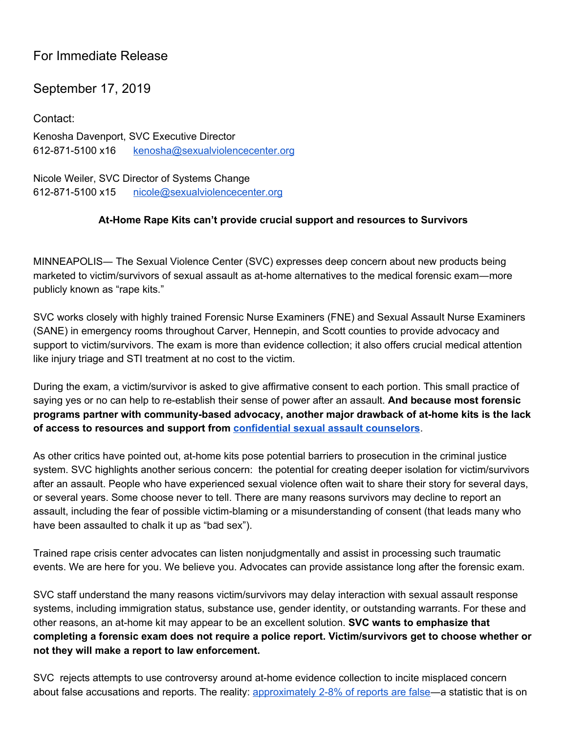## For Immediate Release

## September 17, 2019

Contact: Kenosha Davenport, SVC Executive Director 612-871-5100 x16 [kenosha@sexualviolencecenter.org](mailto:kenosha@sexualviolencecenter.org)

Nicole Weiler, SVC Director of Systems Change 612-871-5100 x15 [nicole@sexualviolencecenter.org](mailto:nicole@sexualviolencecenter.org)

## **At-Home Rape Kits can't provide crucial support and resources to Survivors**

MINNEAPOLIS― The Sexual Violence Center (SVC) expresses deep concern about new products being marketed to victim/survivors of sexual assault as at-home alternatives to the medical forensic exam―more publicly known as "rape kits."

SVC works closely with highly trained Forensic Nurse Examiners (FNE) and Sexual Assault Nurse Examiners (SANE) in emergency rooms throughout Carver, Hennepin, and Scott counties to provide advocacy and support to victim/survivors. The exam is more than evidence collection; it also offers crucial medical attention like injury triage and STI treatment at no cost to the victim.

During the exam, a victim/survivor is asked to give affirmative consent to each portion. This small practice of saying yes or no can help to re-establish their sense of power after an assault. **And because most forensic programs partner with community-based advocacy, another major drawback of at-home kits is the lack of access to resources and support from [confidential](https://www.revisor.mn.gov/statutes/cite/595.02) sexual assault counselors**.

As other critics have pointed out, at-home kits pose potential barriers to prosecution in the criminal justice system. SVC highlights another serious concern: the potential for creating deeper isolation for victim/survivors after an assault. People who have experienced sexual violence often wait to share their story for several days, or several years. Some choose never to tell. There are many reasons survivors may decline to report an assault, including the fear of possible victim-blaming or a misunderstanding of consent (that leads many who have been assaulted to chalk it up as "bad sex").

Trained rape crisis center advocates can listen nonjudgmentally and assist in processing such traumatic events. We are here for you. We believe you. Advocates can provide assistance long after the forensic exam.

SVC staff understand the many reasons victim/survivors may delay interaction with sexual assault response systems, including immigration status, substance use, gender identity, or outstanding warrants. For these and other reasons, an at-home kit may appear to be an excellent solution. **SVC wants to emphasize that completing a forensic exam does not require a police report. Victim/survivors get to choose whether or not they will make a report to law enforcement.**

SVC rejects attempts to use controversy around at-home evidence collection to incite misplaced concern about false accusations and reports. The reality: [approximately](https://www.nsvrc.org/sites/default/files/2012-03/Publications_NSVRC_Overview_False-Reporting.pdf?fbclid=IwAR1p7NWiNmXTL24tFbmFShuo8SFcHu4VRjJEszUs74lLMcc67gb1rzHO_Sc) 2-8% of reports are false—a statistic that is on